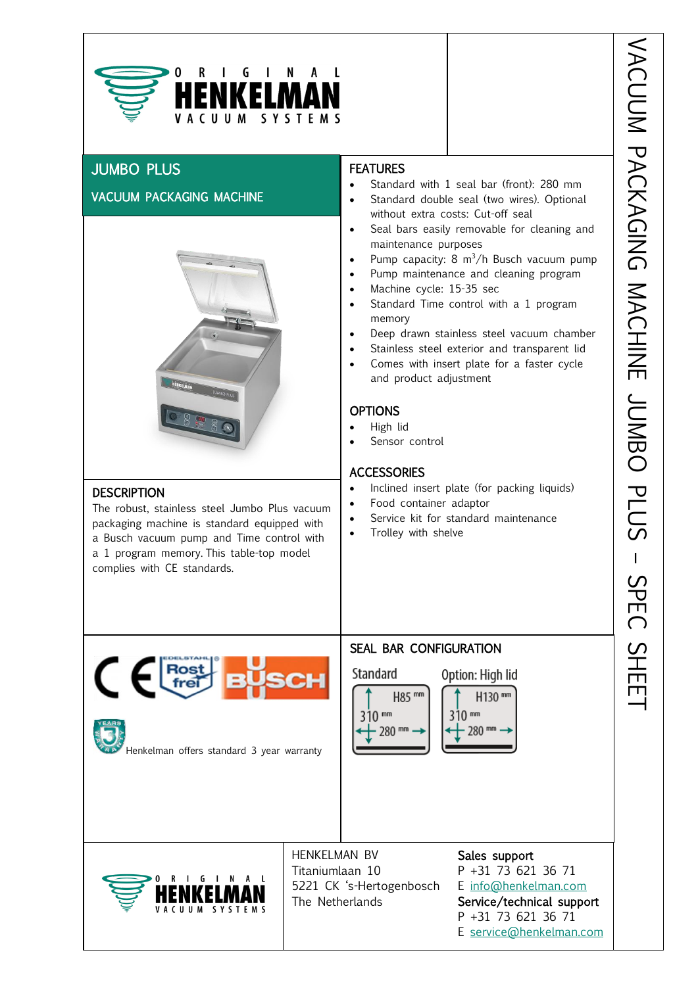

# JUMBO PLUS

ł

## VACUUM PACKAGING MACHINE



## **DESCRIPTION**

The robust, stainless steel Jumbo Plus vacuum packaging machine is standard equipped with a Busch vacuum pump and Time control with a 1 program memory. This table-top model complies with CE standards.

## **FEATURES**

- Standard with 1 seal bar (front): 280 mm
- Standard double seal (two wires). Optional without extra costs: Cut-off seal
- $\frac{1}{2}$ • Seal bars easily removable for cleaning and maintenance purposes
- Pump capacity: 8  $m^3/h$  Busch vacuum pump
- Pump maintenance and cleaning program
- Machine cycle: 15-35 sec
- Standard Time control with a 1 program memory
- Deep drawn stainless steel vacuum chamber
- Stainless steel exterior and transparent lid
- Comes with insert plate for a faster cycle and product adjustment

#### OPTIONS

- High lid
- Sensor control

#### **ACCESSORIES**

- Inclined insert plate (for packing liquids)
- Food container adaptor
- Service kit for standard maintenance
- Trolley with shelve